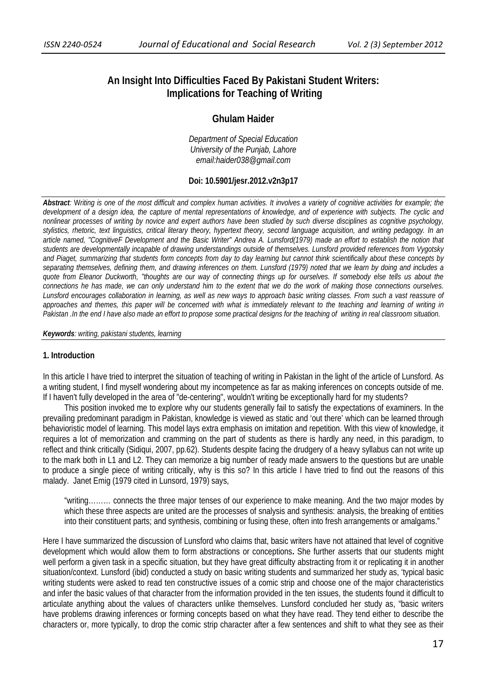# **An Insight Into Difficulties Faced By Pakistani Student Writers: Implications for Teaching of Writing**

# **Ghulam Haider**

*Department of Special Education University of the Punjab, Lahore email:haider038@gmail.com* 

# **Doi: 10.5901/jesr.2012.v2n3p17**

*Abstract:* W*riting is one of the most difficult and complex human activities. It involves a variety of cognitive activities for example; the development of a design idea, the capture of mental representations of knowledge, and of experience with subjects. The cyclic and nonlinear processes of writing by novice and expert authors have been studied by such diverse disciplines as cognitive psychology, stylistics, rhetoric, text linguistics, critical literary theory, hypertext theory, second language acquisition, and writing pedagogy. In an article named, "CognitiveF Development and the Basic Writer" Andrea A. Lunsford(1979) made an effort to establish the notion that students are developmentally incapable of drawing understandings outside of themselves. Lunsford provided references from Vygotsky and Piaget, summarizing that students form concepts from day to day learning but cannot think scientifically about these concepts by separating themselves, defining them, and drawing inferences on them. Lunsford (1979) noted that we learn by doing and includes a quote from Eleanor Duckworth, "thoughts are our way of connecting things up for ourselves. If somebody else tells us about the connections he has made, we can only understand him to the extent that we do the work of making those connections ourselves. Lunsford encourages collaboration in learning, as well as new ways to approach basic writing classes. From such a vast reassure of approaches and themes, this paper will be concerned with what is immediately relevant to the teaching and learning of writing in Pakistan .In the end I have also made an effort to propose some practical designs for the teaching of writing in real classroom situation.* 

#### *Keywords: writing, pakistani students, learning*

## **1. Introduction**

In this article I have tried to interpret the situation of teaching of writing in Pakistan in the light of the article of Lunsford. As a writing student, I find myself wondering about my incompetence as far as making inferences on concepts outside of me. If I haven't fully developed in the area of "de-centering", wouldn't writing be exceptionally hard for my students?

 This position invoked me to explore why our students generally fail to satisfy the expectations of examiners. In the prevailing predominant paradigm in Pakistan, knowledge is viewed as static and 'out there' which can be learned through behavioristic model of learning. This model lays extra emphasis on imitation and repetition. With this view of knowledge, it requires a lot of memorization and cramming on the part of students as there is hardly any need, in this paradigm, to reflect and think critically (Sidiqui, 2007, pp.62). Students despite facing the drudgery of a heavy syllabus can not write up to the mark both in L1 and L2. They can memorize a big number of ready made answers to the questions but are unable to produce a single piece of writing critically, why is this so? In this article I have tried to find out the reasons of this malady. Janet Emig (1979 cited in Lunsord, 1979) says,

"writing……… connects the three major tenses of our experience to make meaning. And the two major modes by which these three aspects are united are the processes of snalysis and synthesis: analysis, the breaking of entities into their constituent parts; and synthesis, combining or fusing these, often into fresh arrangements or amalgams."

Here I have summarized the discussion of Lunsford who claims that, basic writers have not attained that level of cognitive development which would allow them to form abstractions or conceptions**.** She further asserts that our students might well perform a given task in a specific situation, but they have great difficulty abstracting from it or replicating it in another situation/context. Lunsford (ibid) conducted a study on basic writing students and summarized her study as, 'typical basic writing students were asked to read ten constructive issues of a comic strip and choose one of the major characteristics and infer the basic values of that character from the information provided in the ten issues, the students found it difficult to articulate anything about the values of characters unlike themselves. Lunsford concluded her study as, "basic writers have problems drawing inferences or forming concepts based on what they have read. They tend either to describe the characters or, more typically, to drop the comic strip character after a few sentences and shift to what they see as their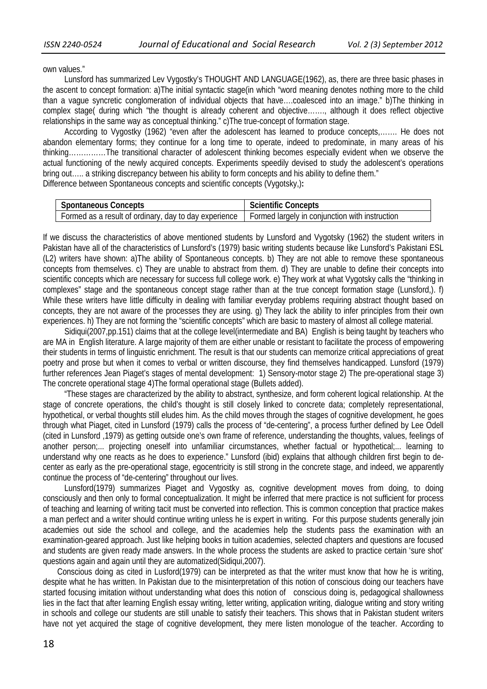own values."

 Lunsford has summarized Lev Vygostky's THOUGHT AND LANGUAGE(1962), as, there are three basic phases in the ascent to concept formation: a)The initial syntactic stage(in which "word meaning denotes nothing more to the child than a vague syncretic conglomeration of individual objects that have….coalesced into an image." b)The thinking in complex stage( during which "the thought is already coherent and objective……., although it does reflect objective relationships in the same way as conceptual thinking." c)The true-concept of formation stage.

 According to Vygostky (1962) "even after the adolescent has learned to produce concepts,……. He does not abandon elementary forms; they continue for a long time to operate, indeed to predominate, in many areas of his thinking……………The transitional character of adolescent thinking becomes especially evident when we observe the actual functioning of the newly acquired concepts. Experiments speedily devised to study the adolescent's operations bring out..... a striking discrepancy between his ability to form concepts and his ability to define them."

Difference between Spontaneous concepts and scientific concepts (Vygotsky,)**:** 

| <b>Spontaneous Concepts</b>                                                                            | <b>Scientific Concepts</b> |  |
|--------------------------------------------------------------------------------------------------------|----------------------------|--|
| Formed as a result of ordinary, day to day experience   Formed largely in conjunction with instruction |                            |  |

If we discuss the characteristics of above mentioned students by Lunsford and Vygotsky (1962) the student writers in Pakistan have all of the characteristics of Lunsford's (1979) basic writing students because like Lunsford's Pakistani ESL (L2) writers have shown: a)The ability of Spontaneous concepts. b) They are not able to remove these spontaneous concepts from themselves. c) They are unable to abstract from them. d) They are unable to define their concepts into scientific concepts which are necessary for success full college work. e) They work at what Vygotsky calls the "thinking in complexes" stage and the spontaneous concept stage rather than at the true concept formation stage (Lunsford,). f) While these writers have little difficulty in dealing with familiar everyday problems requiring abstract thought based on concepts, they are not aware of the processes they are using. g) They lack the ability to infer principles from their own experiences. h) They are not forming the "scientific concepts" which are basic to mastery of almost all college material.

 Sidiqui(2007,pp.151) claims that at the college level(intermediate and BA) English is being taught by teachers who are MA in English literature. A large majority of them are either unable or resistant to facilitate the process of empowering their students in terms of linguistic enrichment. The result is that our students can memorize critical appreciations of great poetry and prose but when it comes to verbal or written discourse, they find themselves handicapped. Lunsford (1979) further references Jean Piaget's stages of mental development: 1) Sensory-motor stage 2) The pre-operational stage 3) The concrete operational stage 4)The formal operational stage (Bullets added).

 "These stages are characterized by the ability to abstract, synthesize, and form coherent logical relationship. At the stage of concrete operations, the child's thought is still closely linked to concrete data; completely representational, hypothetical, or verbal thoughts still eludes him. As the child moves through the stages of cognitive development, he goes through what Piaget, cited in Lunsford (1979) calls the process of "de-centering", a process further defined by Lee Odell (cited in Lunsford ,1979) as getting outside one's own frame of reference, understanding the thoughts, values, feelings of another person;... projecting oneself into unfamiliar circumstances, whether factual or hypothetical;... learning to understand why one reacts as he does to experience." Lunsford (ibid) explains that although children first begin to decenter as early as the pre-operational stage, egocentricity is still strong in the concrete stage, and indeed, we apparently continue the process of "de-centering" throughout our lives.

 Lunsford(1979) summarizes Piaget and Vygostky as, cognitive development moves from doing, to doing consciously and then only to formal conceptualization. It might be inferred that mere practice is not sufficient for process of teaching and learning of writing tacit must be converted into reflection. This is common conception that practice makes a man perfect and a writer should continue writing unless he is expert in writing. For this purpose students generally join academies out side the school and college, and the academies help the students pass the examination with an examination-geared approach. Just like helping books in tuition academies, selected chapters and questions are focused and students are given ready made answers. In the whole process the students are asked to practice certain 'sure shot' questions again and again until they are automatized(Sidiqui,2007).

 Conscious doing as cited in Lusford(1979) can be interpreted as that the writer must know that how he is writing, despite what he has written. In Pakistan due to the misinterpretation of this notion of conscious doing our teachers have started focusing imitation without understanding what does this notion of conscious doing is, pedagogical shallowness lies in the fact that after learning English essay writing, letter writing, application writing, dialogue writing and story writing in schools and college our students are still unable to satisfy their teachers. This shows that in Pakistan student writers have not yet acquired the stage of cognitive development, they mere listen monologue of the teacher. According to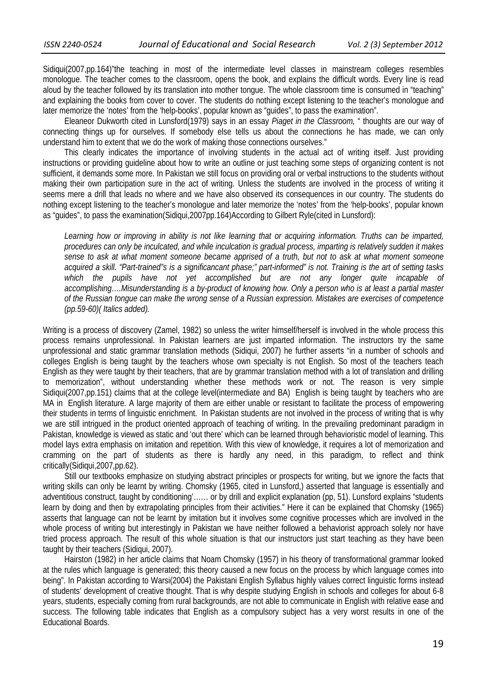Sidiqui(2007,pp.164)"the teaching in most of the intermediate level classes in mainstream colleges resembles monologue. The teacher comes to the classroom, opens the book, and explains the difficult words. Every line is read aloud by the teacher followed by its translation into mother tongue. The whole classroom time is consumed in "teaching" and explaining the books from cover to cover. The students do nothing except listening to the teacher's monologue and later memorize the 'notes' from the 'help-books', popular known as "guides", to pass the examination".

 Eleaneor Dukworth cited in Lunsford(1979) says in an essay *Piaget in the Classroom,* " thoughts are our way of connecting things up for ourselves. If somebody else tells us about the connections he has made, we can only understand him to extent that we do the work of making those connections ourselves."

 This clearly indicates the importance of involving students in the actual act of writing itself. Just providing instructions or providing guideline about how to write an outline or just teaching some steps of organizing content is not sufficient, it demands some more. In Pakistan we still focus on providing oral or verbal instructions to the students without making their own participation sure in the act of writing. Unless the students are involved in the process of writing it seems mere a drill that leads no where and we have also observed its consequences in our country. The students do nothing except listening to the teacher's monologue and later memorize the 'notes' from the 'help-books', popular known as "guides", to pass the examination(Sidiqui,2007pp.164)According to Gilbert Ryle(cited in Lunsford):

*Learning how or improving in ability is not like learning that or acquiring information. Truths can be imparted, procedures can only be inculcated, and while inculcation is gradual process, imparting is relatively sudden it makes sense to ask at what moment someone became apprised of a truth, but not to ask at what moment someone acquired a skill. "Part-trained"s is a significancant phase;" part-informed" is not. Training is the art of setting tasks which the pupils have not yet accomplished but are not any longer quite incapable of accomplishing….Misunderstanding is a by-product of knowing how. Only a person who is at least a partial master of the Russian tongue can make the wrong sense of a Russian expression. Mistakes are exercises of competence (pp.59-60)( Italics added).* 

Writing is a process of discovery (Zamel, 1982) so unless the writer himself/herself is involved in the whole process this process remains unprofessional. In Pakistan learners are just imparted information. The instructors try the same unprofessional and static grammar translation methods (Sidiqui, 2007) he further asserts "in a number of schools and colleges English is being taught by the teachers whose own specialty is not English. So most of the teachers teach English as they were taught by their teachers, that are by grammar translation method with a lot of translation and drilling to memorization", without understanding whether these methods work or not. The reason is very simple Sidiqui(2007,pp.151) claims that at the college level(intermediate and BA) English is being taught by teachers who are MA in English literature. A large majority of them are either unable or resistant to facilitate the process of empowering their students in terms of linguistic enrichment. In Pakistan students are not involved in the process of writing that is why we are still intrigued in the product oriented approach of teaching of writing. In the prevailing predominant paradigm in Pakistan, knowledge is viewed as static and 'out there' which can be learned through behavioristic model of learning. This model lays extra emphasis on imitation and repetition. With this view of knowledge, it requires a lot of memorization and cramming on the part of students as there is hardly any need, in this paradigm, to reflect and think critically(Sidiqui,2007,pp.62).

 Still our textbooks emphasize on studying abstract principles or prospects for writing, but we ignore the facts that writing skills can only be learnt by writing. Chomsky (1965, cited in Lunsford,) asserted that language is essentially and adventitious construct, taught by conditioning'…… or by drill and explicit explanation (pp, 51). Lunsford explains "students learn by doing and then by extrapolating principles from their activities." Here it can be explained that Chomsky (1965) asserts that language can not be learnt by imitation but it involves some cognitive processes which are involved in the whole process of writing but interestingly in Pakistan we have neither followed a behaviorist approach solely nor have tried process approach. The result of this whole situation is that our instructors just start teaching as they have been taught by their teachers (Sidiqui, 2007).

 Hairston (1982) in her article claims that Noam Chomsky (1957) in his theory of transformational grammar looked at the rules which language is generated; this theory caused a new focus on the process by which language comes into being". In Pakistan according to Warsi(2004) the Pakistani English Syllabus highly values correct linguistic forms instead of students' development of creative thought. That is why despite studying English in schools and colleges for about 6-8 years, students, especially coming from rural backgrounds, are not able to communicate in English with relative ease and success. The following table indicates that English as a compulsory subject has a very worst results in one of the Educational Boards.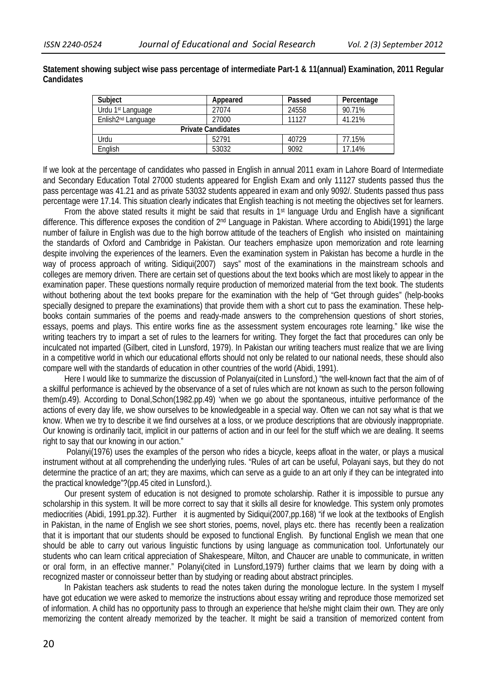**Statement showing subject wise pass percentage of intermediate Part-1 & 11(annual) Examination, 2011 Regular Candidates** 

| Subject                                   | Appeared | Passed | Percentage |  |
|-------------------------------------------|----------|--------|------------|--|
| Urdu 1 <sup>st</sup> Language             | 27074    | 24558  | 90.71%     |  |
| Enlish <sub>2<sup>nd</sup> Language</sub> | 27000    | 11127  | 41.21%     |  |
| <b>Private Candidates</b>                 |          |        |            |  |
| Urdu                                      | 52791    | 40729  | 77.15%     |  |
| English                                   | 53032    | 9092   | 17.14%     |  |

If we look at the percentage of candidates who passed in English in annual 2011 exam in Lahore Board of Intermediate and Secondary Education Total 27000 students appeared for English Exam and only 11127 students passed thus the pass percentage was 41.21 and as private 53032 students appeared in exam and only 9092/. Students passed thus pass percentage were 17.14. This situation clearly indicates that English teaching is not meeting the objectives set for learners.

From the above stated results it might be said that results in 1<sup>st</sup> language Urdu and English have a significant difference. This difference exposes the condition of 2nd Language in Pakistan. Where according to Abidi(1991) the large number of failure in English was due to the high borrow attitude of the teachers of English who insisted on maintaining the standards of Oxford and Cambridge in Pakistan. Our teachers emphasize upon memorization and rote learning despite involving the experiences of the learners. Even the examination system in Pakistan has become a hurdle in the way of process approach of writing. Sidiqui(2007) says" most of the examinations in the mainstream schools and colleges are memory driven. There are certain set of questions about the text books which are most likely to appear in the examination paper. These questions normally require production of memorized material from the text book. The students without bothering about the text books prepare for the examination with the help of "Get through guides" (help-books specially designed to prepare the examinations) that provide them with a short cut to pass the examination. These helpbooks contain summaries of the poems and ready-made answers to the comprehension questions of short stories, essays, poems and plays. This entire works fine as the assessment system encourages rote learning." like wise the writing teachers try to impart a set of rules to the learners for writing. They forget the fact that procedures can only be inculcated not imparted (Gilbert, cited in Lunsford, 1979). In Pakistan our writing teachers must realize that we are living in a competitive world in which our educational efforts should not only be related to our national needs, these should also compare well with the standards of education in other countries of the world (Abidi, 1991).

 Here I would like to summarize the discussion of Polanyai(cited in Lunsford,) "the well-known fact that the aim of of a skillful performance is achieved by the observance of a set of rules which are not known as such to the person following them(p.49). According to Donal,Schon(1982.pp.49) 'when we go about the spontaneous, intuitive performance of the actions of every day life, we show ourselves to be knowledgeable in a special way. Often we can not say what is that we know. When we try to describe it we find ourselves at a loss, or we produce descriptions that are obviously inappropriate. Our knowing is ordinarily tacit, implicit in our patterns of action and in our feel for the stuff which we are dealing. It seems right to say that our knowing in our action."

 Polanyi(1976) uses the examples of the person who rides a bicycle, keeps afloat in the water, or plays a musical instrument without at all comprehending the underlying rules. "Rules of art can be useful, Polayani says, but they do not determine the practice of an art; they are maxims, which can serve as a guide to an art only if they can be integrated into the practical knowledge"?(pp.45 cited in Lunsford,).

 Our present system of education is not designed to promote scholarship. Rather it is impossible to pursue any scholarship in this system. It will be more correct to say that it skills all desire for knowledge. This system only promotes mediocrities (Abidi, 1991.pp.32). Further it is augmented by Sidiqui(2007,pp.168) "if we look at the textbooks of English in Pakistan, in the name of English we see short stories, poems, novel, plays etc. there has recently been a realization that it is important that our students should be exposed to functional English. By functional English we mean that one should be able to carry out various linguistic functions by using language as communication tool. Unfortunately our students who can learn critical appreciation of Shakespeare, Milton, and Chaucer are unable to communicate, in written or oral form, in an effective manner." Polanyi(cited in Lunsford,1979) further claims that we learn by doing with a recognized master or connoisseur better than by studying or reading about abstract principles.

 In Pakistan teachers ask students to read the notes taken during the monologue lecture. In the system I myself have got education we were asked to memorize the instructions about essay writing and reproduce those memorized set of information. A child has no opportunity pass to through an experience that he/she might claim their own. They are only memorizing the content already memorized by the teacher. It might be said a transition of memorized content from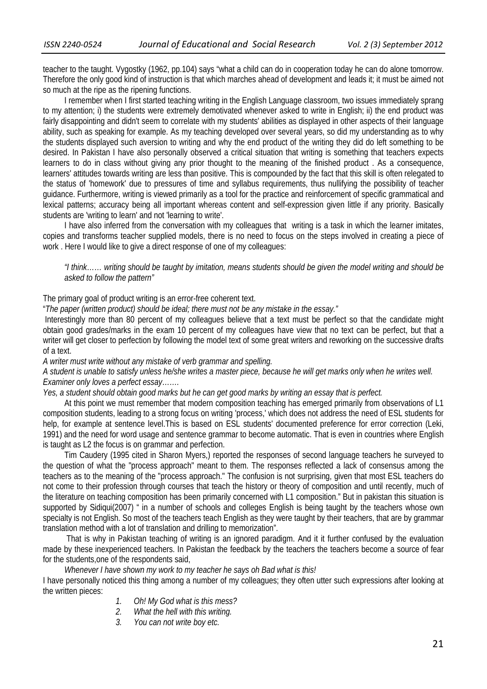teacher to the taught. Vygostky (1962, pp.104) says "what a child can do in cooperation today he can do alone tomorrow. Therefore the only good kind of instruction is that which marches ahead of development and leads it; it must be aimed not so much at the ripe as the ripening functions.

 I remember when I first started teaching writing in the English Language classroom, two issues immediately sprang to my attention; i) the students were extremely demotivated whenever asked to write in English; ii) the end product was fairly disappointing and didn't seem to correlate with my students' abilities as displayed in other aspects of their language ability, such as speaking for example. As my teaching developed over several years, so did my understanding as to why the students displayed such aversion to writing and why the end product of the writing they did do left something to be desired. In Pakistan I have also personally observed a critical situation that writing is something that teachers expects learners to do in class without giving any prior thought to the meaning of the finished product . As a consequence, learners' attitudes towards writing are less than positive. This is compounded by the fact that this skill is often relegated to the status of 'homework' due to pressures of time and syllabus requirements, thus nullifying the possibility of teacher guidance. Furthermore, writing is viewed primarily as a tool for the practice and reinforcement of specific grammatical and lexical patterns; accuracy being all important whereas content and self-expression given little if any priority. Basically students are 'writing to learn' and not 'learning to write'.

 I have also inferred from the conversation with my colleagues that writing is a task in which the learner imitates, copies and transforms teacher supplied models, there is no need to focus on the steps involved in creating a piece of work . Here I would like to give a direct response of one of my colleagues:

*"I think…… writing should be taught by imitation, means students should be given the model writing and should be asked to follow the pattern"* 

#### The primary goal of product writing is an error-free coherent text.

"*The paper (written product) should be ideal; there must not be any mistake in the essay."* 

Interestingly more than 80 percent of my colleagues believe that a text must be perfect so that the candidate might obtain good grades/marks in the exam 10 percent of my colleagues have view that no text can be perfect, but that a writer will get closer to perfection by following the model text of some great writers and reworking on the successive drafts of a text.

#### *A writer must write without any mistake of verb grammar and spelling.*

# *A student is unable to satisfy unless he/she writes a master piece, because he will get marks only when he writes well. Examiner only loves a perfect essay…….*

#### *Yes, a student should obtain good marks but he can get good marks by writing an essay that is perfect.*

 At this point we must remember that modern composition teaching has emerged primarily from observations of L1 composition students, leading to a strong focus on writing 'process,' which does not address the need of ESL students for help, for example at sentence level.This is based on ESL students' documented preference for error correction (Leki, 1991) and the need for word usage and sentence grammar to become automatic. That is even in countries where English is taught as L2 the focus is on grammar and perfection.

 Tim Caudery (1995 cited in Sharon Myers,) reported the responses of second language teachers he surveyed to the question of what the "process approach" meant to them. The responses reflected a lack of consensus among the teachers as to the meaning of the "process approach." The confusion is not surprising, given that most ESL teachers do not come to their profession through courses that teach the history or theory of composition and until recently, much of the literature on teaching composition has been primarily concerned with L1 composition." But in pakistan this situation is supported by Sidiqui(2007) " in a number of schools and colleges English is being taught by the teachers whose own specialty is not English. So most of the teachers teach English as they were taught by their teachers, that are by grammar translation method with a lot of translation and drilling to memorization".

 That is why in Pakistan teaching of writing is an ignored paradigm. And it it further confused by the evaluation made by these inexperienced teachers. In Pakistan the feedback by the teachers the teachers become a source of fear for the students,one of the respondents said,

#### *Whenever I have shown my work to my teacher he says oh Bad what is this!*

I have personally noticed this thing among a number of my colleagues; they often utter such expressions after looking at the written pieces:

- *1. Oh! My God what is this mess?*
- *2. What the hell with this writing.*
- *3. You can not write boy etc.*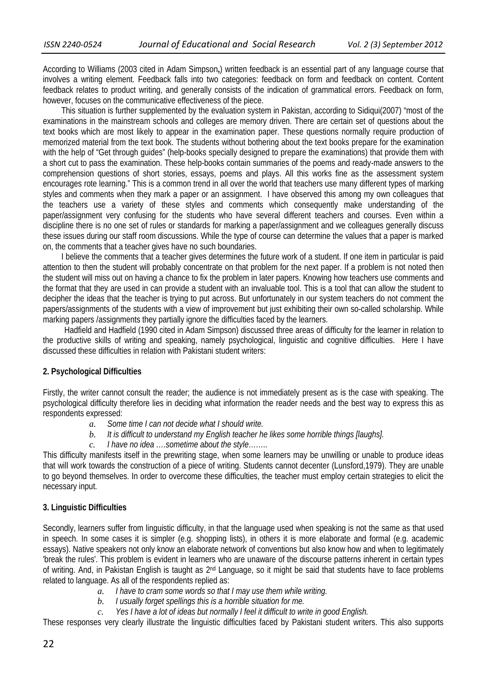According to Williams (2003 cited in Adam Simpson**,**) written feedback is an essential part of any language course that involves a writing element. Feedback falls into two categories: feedback on form and feedback on content. Content feedback relates to product writing, and generally consists of the indication of grammatical errors. Feedback on form, however, focuses on the communicative effectiveness of the piece.

 This situation is further supplemented by the evaluation system in Pakistan, according to Sidiqui(2007) "most of the examinations in the mainstream schools and colleges are memory driven. There are certain set of questions about the text books which are most likely to appear in the examination paper. These questions normally require production of memorized material from the text book. The students without bothering about the text books prepare for the examination with the help of "Get through guides" (help-books specially designed to prepare the examinations) that provide them with a short cut to pass the examination. These help-books contain summaries of the poems and ready-made answers to the comprehension questions of short stories, essays, poems and plays. All this works fine as the assessment system encourages rote learning." This is a common trend in all over the world that teachers use many different types of marking styles and comments when they mark a paper or an assignment. I have observed this among my own colleagues that the teachers use a variety of these styles and comments which consequently make understanding of the paper/assignment very confusing for the students who have several different teachers and courses. Even within a discipline there is no one set of rules or standards for marking a paper/assignment and we colleagues generally discuss these issues during our staff room discussions. While the type of course can determine the values that a paper is marked on, the comments that a teacher gives have no such boundaries.

 I believe the comments that a teacher gives determines the future work of a student. If one item in particular is paid attention to then the student will probably concentrate on that problem for the next paper. If a problem is not noted then the student will miss out on having a chance to fix the problem in later papers. Knowing how teachers use comments and the format that they are used in can provide a student with an invaluable tool. This is a tool that can allow the student to decipher the ideas that the teacher is trying to put across. But unfortunately in our system teachers do not comment the papers/assignments of the students with a view of improvement but just exhibiting their own so-called scholarship. While marking papers /assignments they partially ignore the difficulties faced by the learners.

Hadfield and Hadfield (1990 cited in Adam Simpson) discussed three areas of difficulty for the learner in relation to the productive skills of writing and speaking, namely psychological, linguistic and cognitive difficulties. Here I have discussed these difficulties in relation with Pakistani student writers:

## **2. Psychological Difficulties**

Firstly, the writer cannot consult the reader; the audience is not immediately present as is the case with speaking. The psychological difficulty therefore lies in deciding what information the reader needs and the best way to express this as respondents expressed:

- *a. Some time I can not decide what I should write.*
- *b. It is difficult to understand my English teacher he likes some horrible things [laughs].*
- *c. I have no idea ….sometime about the style……..*

This difficulty manifests itself in the prewriting stage, when some learners may be unwilling or unable to produce ideas that will work towards the construction of a piece of writing. Students cannot decenter (Lunsford,1979). They are unable to go beyond themselves. In order to overcome these difficulties, the teacher must employ certain strategies to elicit the necessary input.

# **3. Linguistic Difficulties**

Secondly, learners suffer from linguistic difficulty, in that the language used when speaking is not the same as that used in speech. In some cases it is simpler (e.g. shopping lists), in others it is more elaborate and formal (e.g. academic essays). Native speakers not only know an elaborate network of conventions but also know how and when to legitimately 'break the rules'. This problem is evident in learners who are unaware of the discourse patterns inherent in certain types of writing. And, in Pakistan English is taught as 2<sup>nd</sup> Language, so it might be said that students have to face problems related to language. As all of the respondents replied as:

- *a. I have to cram some words so that I may use them while writing.*
- *b. I usually forget spellings this is a horrible situation for me.*
- *c. Yes I have a lot of ideas but normally I feel it difficult to write in good English.*

These responses very clearly illustrate the linguistic difficulties faced by Pakistani student writers. This also supports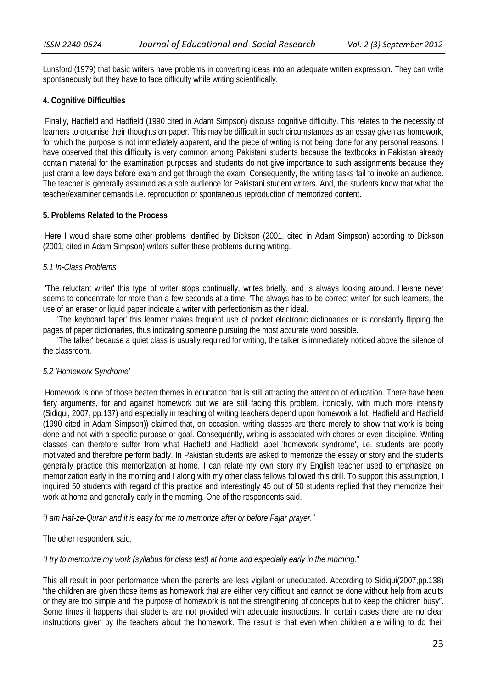Lunsford (1979) that basic writers have problems in converting ideas into an adequate written expression. They can write spontaneously but they have to face difficulty while writing scientifically.

## **4. Cognitive Difficulties**

 Finally, Hadfield and Hadfield (1990 cited in Adam Simpson) discuss cognitive difficulty. This relates to the necessity of learners to organise their thoughts on paper. This may be difficult in such circumstances as an essay given as homework, for which the purpose is not immediately apparent, and the piece of writing is not being done for any personal reasons. I have observed that this difficulty is very common among Pakistani students because the textbooks in Pakistan already contain material for the examination purposes and students do not give importance to such assignments because they just cram a few days before exam and get through the exam. Consequently, the writing tasks fail to invoke an audience. The teacher is generally assumed as a sole audience for Pakistani student writers. And, the students know that what the teacher/examiner demands i.e. reproduction or spontaneous reproduction of memorized content.

## **5. Problems Related to the Process**

 Here I would share some other problems identified by Dickson (2001, cited in Adam Simpson) according to Dickson (2001, cited in Adam Simpson) writers suffer these problems during writing.

# *5.1 In-Class Problems*

 'The reluctant writer' this type of writer stops continually, writes briefly, and is always looking around. He/she never seems to concentrate for more than a few seconds at a time. 'The always-has-to-be-correct writer' for such learners, the use of an eraser or liquid paper indicate a writer with perfectionism as their ideal.

 'The keyboard taper' this learner makes frequent use of pocket electronic dictionaries or is constantly flipping the pages of paper dictionaries, thus indicating someone pursuing the most accurate word possible.

 'The talker' because a quiet class is usually required for writing, the talker is immediately noticed above the silence of the classroom.

## *5.2 'Homework Syndrome'*

 Homework is one of those beaten themes in education that is still attracting the attention of education. There have been fiery arguments, for and against homework but we are still facing this problem, ironically, with much more intensity (Sidiqui, 2007, pp.137) and especially in teaching of writing teachers depend upon homework a lot. Hadfield and Hadfield (1990 cited in Adam Simpson)) claimed that, on occasion, writing classes are there merely to show that work is being done and not with a specific purpose or goal. Consequently, writing is associated with chores or even discipline. Writing classes can therefore suffer from what Hadfield and Hadfield label 'homework syndrome', i.e. students are poorly motivated and therefore perform badly. In Pakistan students are asked to memorize the essay or story and the students generally practice this memorization at home. I can relate my own story my English teacher used to emphasize on memorization early in the morning and I along with my other class fellows followed this drill. To support this assumption, I inquired 50 students with regard of this practice and interestingly 45 out of 50 students replied that they memorize their work at home and generally early in the morning. One of the respondents said,

*"I am Haf-ze-Quran and it is easy for me to memorize after or before Fajar prayer."* 

The other respondent said,

## *"I try to memorize my work (syllabus for class test) at home and especially early in the morning."*

This all result in poor performance when the parents are less vigilant or uneducated. According to Sidiqui(2007,pp.138) "the children are given those items as homework that are either very difficult and cannot be done without help from adults or they are too simple and the purpose of homework is not the strengthening of concepts but to keep the children busy". Some times it happens that students are not provided with adequate instructions. In certain cases there are no clear instructions given by the teachers about the homework. The result is that even when children are willing to do their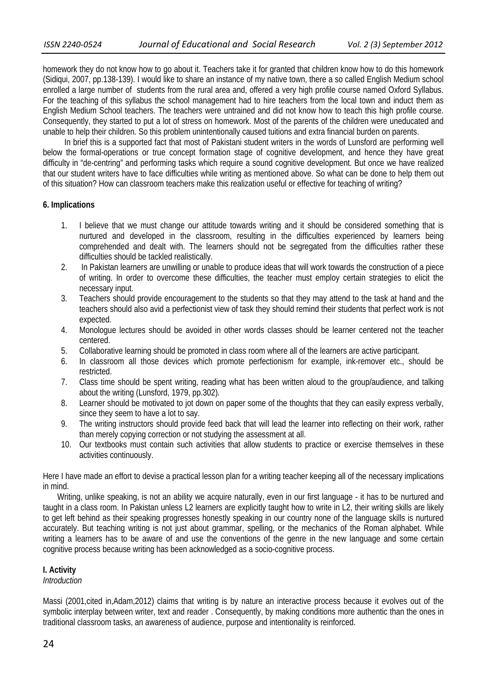homework they do not know how to go about it. Teachers take it for granted that children know how to do this homework (Sidiqui, 2007, pp.138-139). I would like to share an instance of my native town, there a so called English Medium school enrolled a large number of students from the rural area and, offered a very high profile course named Oxford Syllabus. For the teaching of this syllabus the school management had to hire teachers from the local town and induct them as English Medium School teachers. The teachers were untrained and did not know how to teach this high profile course. Consequently, they started to put a lot of stress on homework. Most of the parents of the children were uneducated and unable to help their children. So this problem unintentionally caused tuitions and extra financial burden on parents.

 In brief this is a supported fact that most of Pakistani student writers in the words of Lunsford are performing well below the formal-operations or true concept formation stage of cognitive development, and hence they have great difficulty in "de-centring" and performing tasks which require a sound cognitive development. But once we have realized that our student writers have to face difficulties while writing as mentioned above. So what can be done to help them out of this situation? How can classroom teachers make this realization useful or effective for teaching of writing?

# **6. Implications**

- 1. I believe that we must change our attitude towards writing and it should be considered something that is nurtured and developed in the classroom, resulting in the difficulties experienced by learners being comprehended and dealt with. The learners should not be segregated from the difficulties rather these difficulties should be tackled realistically.
- 2. In Pakistan learners are unwilling or unable to produce ideas that will work towards the construction of a piece of writing. In order to overcome these difficulties, the teacher must employ certain strategies to elicit the necessary input.
- 3. Teachers should provide encouragement to the students so that they may attend to the task at hand and the teachers should also avid a perfectionist view of task they should remind their students that perfect work is not expected.
- 4. Monologue lectures should be avoided in other words classes should be learner centered not the teacher centered.
- 5. Collaborative learning should be promoted in class room where all of the learners are active participant.
- 6. In classroom all those devices which promote perfectionism for example, ink-remover etc., should be restricted.
- 7. Class time should be spent writing, reading what has been written aloud to the group/audience, and talking about the writing (Lunsford, 1979, pp.302).
- 8. Learner should be motivated to jot down on paper some of the thoughts that they can easily express verbally, since they seem to have a lot to say.
- 9. The writing instructors should provide feed back that will lead the learner into reflecting on their work, rather than merely copying correction or not studying the assessment at all.
- 10. Our textbooks must contain such activities that allow students to practice or exercise themselves in these activities continuously.

Here I have made an effort to devise a practical lesson plan for a writing teacher keeping all of the necessary implications in mind.

 Writing, unlike speaking, is not an ability we acquire naturally, even in our first language - it has to be nurtured and taught in a class room. In Pakistan unless L2 learners are explicitly taught how to write in L2, their writing skills are likely to get left behind as their speaking progresses honestly speaking in our country none of the language skills is nurtured accurately. But teaching writing is not just about grammar, spelling, or the mechanics of the Roman alphabet. While writing a learners has to be aware of and use the conventions of the genre in the new language and some certain cognitive process because writing has been acknowledged as a socio-cognitive process.

# **I. Activity**

*Introduction* 

Massi (2001,cited in,Adam,2012) claims that writing is by nature an interactive process because it evolves out of the symbolic interplay between writer, text and reader . Consequently, by making conditions more authentic than the ones in traditional classroom tasks, an awareness of audience, purpose and intentionality is reinforced.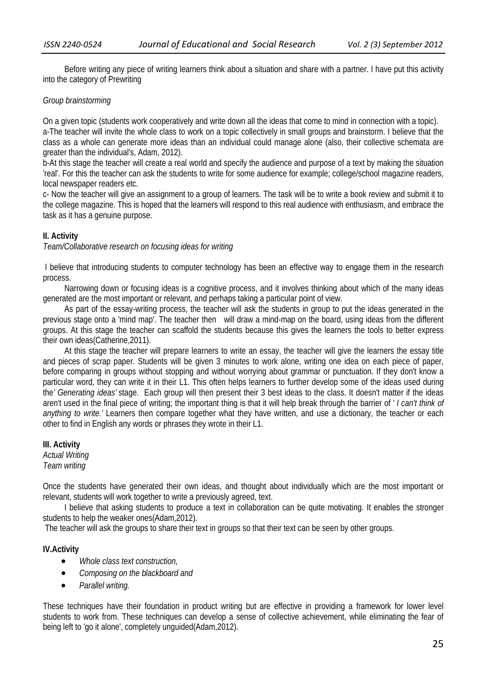Before writing any piece of writing learners think about a situation and share with a partner. I have put this activity into the category of Prewriting

#### *Group brainstorming*

On a given topic (students work cooperatively and write down all the ideas that come to mind in connection with a topic). a-The teacher will invite the whole class to work on a topic collectively in small groups and brainstorm. I believe that the class as a whole can generate more ideas than an individual could manage alone (also, their collective schemata are greater than the individual's, Adam, 2012).

b-At this stage the teacher will create a real world and specify the audience and purpose of a text by making the situation 'real'. For this the teacher can ask the students to write for some audience for example; college/school magazine readers, local newspaper readers etc.

c- Now the teacher will give an assignment to a group of learners. The task will be to write a book review and submit it to the college magazine. This is hoped that the learners will respond to this real audience with enthusiasm, and embrace the task as it has a genuine purpose.

## **II. Activity**

*Team/Collaborative research on focusing ideas for writing* 

 I believe that introducing students to computer technology has been an effective way to engage them in the research process.

Narrowing down or focusing ideas is a cognitive process, and it involves thinking about which of the many ideas generated are the most important or relevant, and perhaps taking a particular point of view.

 As part of the essay-writing process, the teacher will ask the students in group to put the ideas generated in the previous stage onto a 'mind map'. The teacher then will draw a mind-map on the board, using ideas from the different groups. At this stage the teacher can scaffold the students because this gives the learners the tools to better express their own ideas(Catherine,2011).

 At this stage the teacher will prepare learners to write an essay, the teacher will give the learners the essay title and pieces of scrap paper. Students will be given 3 minutes to work alone, writing one idea on each piece of paper, before comparing in groups without stopping and without worrying about grammar or punctuation. If they don't know a particular word, they can write it in their L1. This often helps learners to further develop some of the ideas used during the*' Generating ideas'* stage. Each group will then present their 3 best ideas to the class. It doesn't matter if the ideas aren't used in the final piece of writing; the important thing is that it will help break through the barrier of *' I can't think of anything to write.'* Learners then compare together what they have written, and use a dictionary, the teacher or each other to find in English any words or phrases they wrote in their L1.

**III. Activity**  *Actual Writing Team writing* 

Once the students have generated their own ideas, and thought about individually which are the most important or relevant, students will work together to write a previously agreed, text.

 I believe that asking students to produce a text in collaboration can be quite motivating. It enables the stronger students to help the weaker ones(Adam,2012).

The teacher will ask the groups to share their text in groups so that their text can be seen by other groups.

## **IV.Activity**

- *Whole class text construction,*
- *Composing on the blackboard and*
- *Parallel writing.*

These techniques have their foundation in product writing but are effective in providing a framework for lower level students to work from. These techniques can develop a sense of collective achievement, while eliminating the fear of being left to 'go it alone', completely unguided(Adam,2012).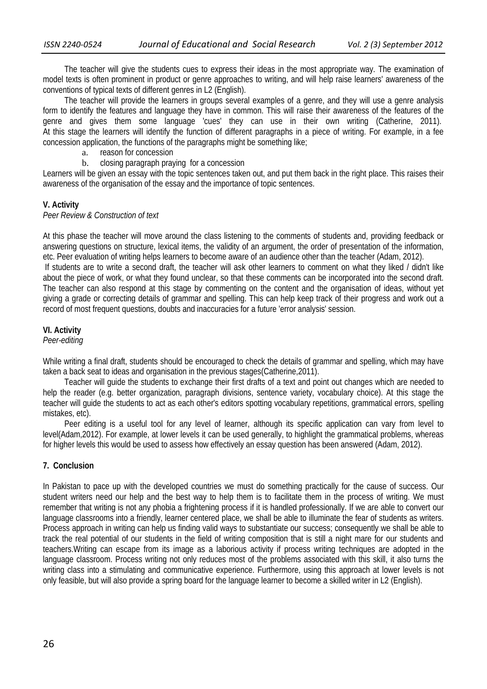The teacher will give the students cues to express their ideas in the most appropriate way. The examination of model texts is often prominent in product or genre approaches to writing, and will help raise learners' awareness of the conventions of typical texts of different genres in L2 (English).

 The teacher will provide the learners in groups several examples of a genre, and they will use a genre analysis form to identify the features and language they have in common. This will raise their awareness of the features of the genre and gives them some language 'cues' they can use in their own writing (Catherine, 2011). At this stage the learners will identify the function of different paragraphs in a piece of writing. For example, in a fee concession application, the functions of the paragraphs might be something like;

- a. reason for concession
- b. closing paragraph praying for a concession

Learners will be given an essay with the topic sentences taken out, and put them back in the right place. This raises their awareness of the organisation of the essay and the importance of topic sentences.

#### **V. Activity**

#### *Peer Review & Construction of text*

At this phase the teacher will move around the class listening to the comments of students and, providing feedback or answering questions on structure, lexical items, the validity of an argument, the order of presentation of the information, etc. Peer evaluation of writing helps learners to become aware of an audience other than the teacher (Adam, 2012). If students are to write a second draft, the teacher will ask other learners to comment on what they liked / didn't like about the piece of work, or what they found unclear, so that these comments can be incorporated into the second draft. The teacher can also respond at this stage by commenting on the content and the organisation of ideas, without yet giving a grade or correcting details of grammar and spelling. This can help keep track of their progress and work out a record of most frequent questions, doubts and inaccuracies for a future 'error analysis' session.

## **VI. Activity**

#### *Peer-editing*

While writing a final draft, students should be encouraged to check the details of grammar and spelling, which may have taken a back seat to ideas and organisation in the previous stages(Catherine,2011).

 Teacher will guide the students to exchange their first drafts of a text and point out changes which are needed to help the reader (e.g. better organization, paragraph divisions, sentence variety, vocabulary choice). At this stage the teacher will guide the students to act as each other's editors spotting vocabulary repetitions, grammatical errors, spelling mistakes, etc).

 Peer editing is a useful tool for any level of learner, although its specific application can vary from level to level(Adam,2012). For example, at lower levels it can be used generally, to highlight the grammatical problems, whereas for higher levels this would be used to assess how effectively an essay question has been answered (Adam, 2012).

#### **7. Conclusion**

In Pakistan to pace up with the developed countries we must do something practically for the cause of success. Our student writers need our help and the best way to help them is to facilitate them in the process of writing. We must remember that writing is not any phobia a frightening process if it is handled professionally. If we are able to convert our language classrooms into a friendly, learner centered place, we shall be able to illuminate the fear of students as writers. Process approach in writing can help us finding valid ways to substantiate our success; consequently we shall be able to track the real potential of our students in the field of writing composition that is still a night mare for our students and teachers.Writing can escape from its image as a laborious activity if process writing techniques are adopted in the language classroom. Process writing not only reduces most of the problems associated with this skill, it also turns the writing class into a stimulating and communicative experience. Furthermore, using this approach at lower levels is not only feasible, but will also provide a spring board for the language learner to become a skilled writer in L2 (English).